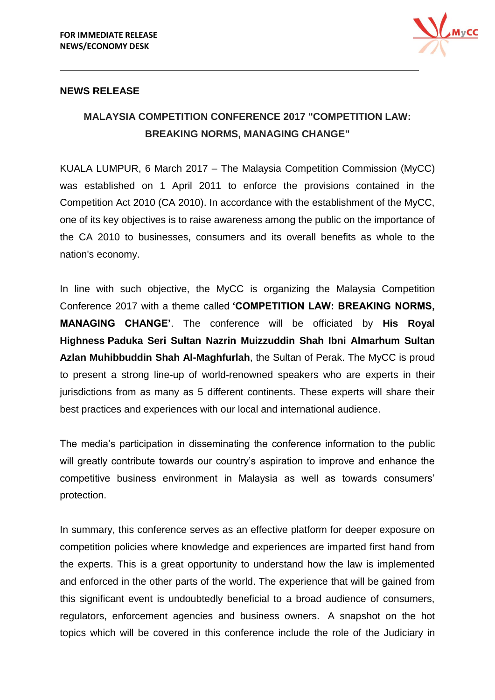

#### **NEWS RELEASE**

# **MALAYSIA COMPETITION CONFERENCE 2017 "COMPETITION LAW: BREAKING NORMS, MANAGING CHANGE"**

KUALA LUMPUR, 6 March 2017 – The Malaysia Competition Commission (MyCC) was established on 1 April 2011 to enforce the provisions contained in the Competition Act 2010 (CA 2010). In accordance with the establishment of the MyCC, one of its key objectives is to raise awareness among the public on the importance of the CA 2010 to businesses, consumers and its overall benefits as whole to the nation's economy.

In line with such objective, the MyCC is organizing the Malaysia Competition Conference 2017 with a theme called **'COMPETITION LAW: BREAKING NORMS, MANAGING CHANGE'**. The conference will be officiated by **His Royal Highness Paduka Seri Sultan Nazrin Muizzuddin Shah Ibni Almarhum Sultan Azlan Muhibbuddin Shah Al-Maghfurlah**, the Sultan of Perak. The MyCC is proud to present a strong line-up of world-renowned speakers who are experts in their jurisdictions from as many as 5 different continents. These experts will share their best practices and experiences with our local and international audience.

The media's participation in disseminating the conference information to the public will greatly contribute towards our country's aspiration to improve and enhance the competitive business environment in Malaysia as well as towards consumers' protection.

In summary, this conference serves as an effective platform for deeper exposure on competition policies where knowledge and experiences are imparted first hand from the experts. This is a great opportunity to understand how the law is implemented and enforced in the other parts of the world. The experience that will be gained from this significant event is undoubtedly beneficial to a broad audience of consumers, regulators, enforcement agencies and business owners. A snapshot on the hot topics which will be covered in this conference include the role of the Judiciary in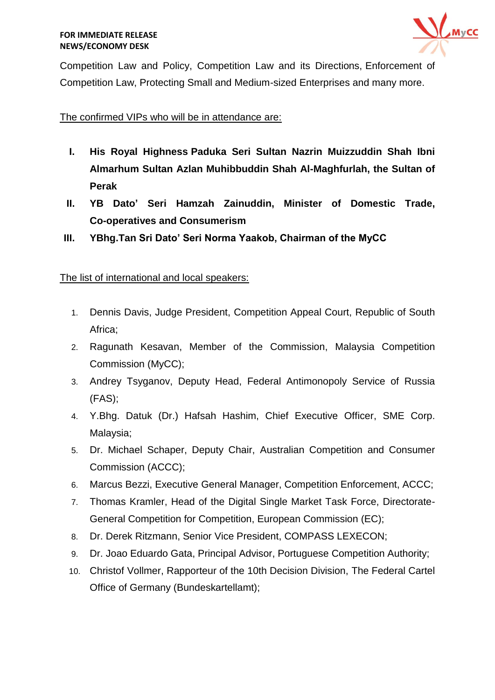

Competition Law and Policy, Competition Law and its Directions, Enforcement of Competition Law, Protecting Small and Medium-sized Enterprises and many more.

#### The confirmed VIPs who will be in attendance are:

- **I. His Royal Highness Paduka Seri Sultan Nazrin Muizzuddin Shah Ibni Almarhum Sultan Azlan Muhibbuddin Shah Al-Maghfurlah, the Sultan of Perak**
- **II. YB Dato' Seri Hamzah Zainuddin, Minister of Domestic Trade, Co-operatives and Consumerism**
- **III. YBhg.Tan Sri Dato' Seri Norma Yaakob, Chairman of the MyCC**

### The list of international and local speakers:

- 1. Dennis Davis, Judge President, Competition Appeal Court, Republic of South Africa;
- 2. Ragunath Kesavan, Member of the Commission, Malaysia Competition Commission (MyCC);
- 3. Andrey Tsyganov, Deputy Head, Federal Antimonopoly Service of Russia (FAS);
- 4. Y.Bhg. Datuk (Dr.) Hafsah Hashim, Chief Executive Officer, SME Corp. Malaysia;
- 5. Dr. Michael Schaper, Deputy Chair, Australian Competition and Consumer Commission (ACCC);
- 6. Marcus Bezzi, Executive General Manager, Competition Enforcement, ACCC;
- 7. Thomas Kramler, Head of the Digital Single Market Task Force, Directorate-General Competition for Competition, European Commission (EC);
- 8. Dr. Derek Ritzmann, Senior Vice President, COMPASS LEXECON;
- 9. Dr. Joao Eduardo Gata, Principal Advisor, Portuguese Competition Authority;
- 10. Christof Vollmer, Rapporteur of the 10th Decision Division, The Federal Cartel Office of Germany (Bundeskartellamt);